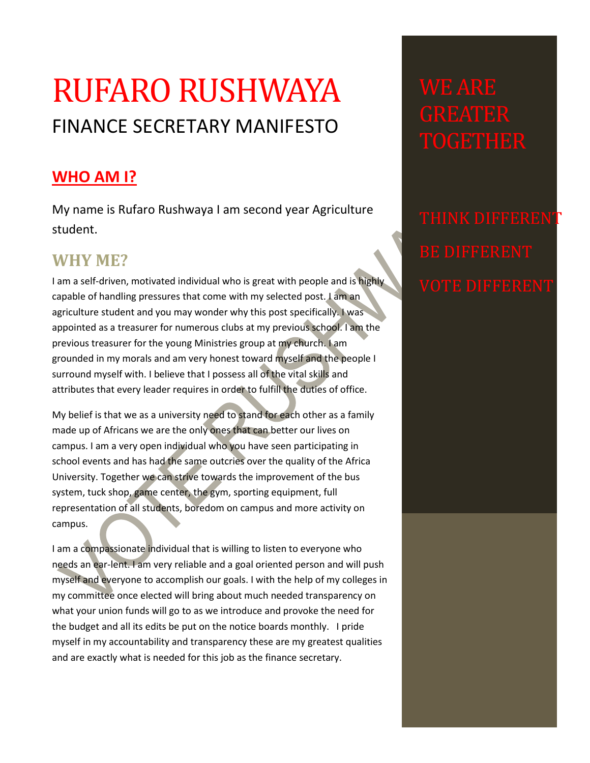## RUFARO RUSHWAYA FINANCE SECRETARY MANIFESTO

## **WHO AM I?**

My name is Rufaro Rushwaya I am second year Agriculture student.

## **WHY ME?**

I am a self-driven, motivated individual who is great with people and is highly capable of handling pressures that come with my selected post. I am an agriculture student and you may wonder why this post specifically. I was appointed as a treasurer for numerous clubs at my previous school. I am the previous treasurer for the young Ministries group at my church. I am grounded in my morals and am very honest toward myself and the people I surround myself with. I believe that I possess all of the vital skills and attributes that every leader requires in order to fulfill the duties of office.

My belief is that we as a university need to stand for each other as a family made up of Africans we are the only ones that can better our lives on campus. I am a very open individual who you have seen participating in school events and has had the same outcries over the quality of the Africa University. Together we can strive towards the improvement of the bus system, tuck shop, game center, the gym, sporting equipment, full representation of all students, boredom on campus and more activity on campus.

I am a compassionate individual that is willing to listen to everyone who needs an ear-lent. I am very reliable and a goal oriented person and will push myself and everyone to accomplish our goals. I with the help of my colleges in my committee once elected will bring about much needed transparency on what your union funds will go to as we introduce and provoke the need for the budget and all its edits be put on the notice boards monthly. I pride myself in my accountability and transparency these are my greatest qualities and are exactly what is needed for this job as the finance secretary.

THINK DIFFERENT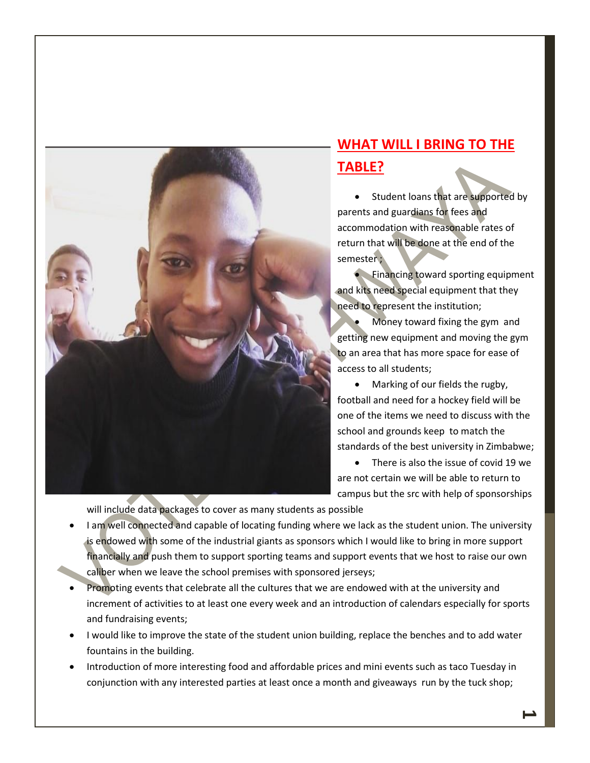

## **WHAT WILL I BRING TO THE TABLE?**

• Student loans that are supported by parents and guardians for fees and accommodation with reasonable rates of return that will be done at the end of the semester ;

**• Financing toward sporting equipment** and kits need special equipment that they need to represent the institution;

 Money toward fixing the gym and getting new equipment and moving the gym to an area that has more space for ease of access to all students;

• Marking of our fields the rugby, football and need for a hockey field will be one of the items we need to discuss with the school and grounds keep to match the standards of the best university in Zimbabwe;

• There is also the issue of covid 19 we are not certain we will be able to return to campus but the src with help of sponsorships

will include data packages to cover as many students as possible

- I am well connected and capable of locating funding where we lack as the student union. The university is endowed with some of the industrial giants as sponsors which I would like to bring in more support financially and push them to support sporting teams and support events that we host to raise our own caliber when we leave the school premises with sponsored jerseys;
- Promoting events that celebrate all the cultures that we are endowed with at the university and increment of activities to at least one every week and an introduction of calendars especially for sports and fundraising events;
- I would like to improve the state of the student union building, replace the benches and to add water fountains in the building.
- Introduction of more interesting food and affordable prices and mini events such as taco Tuesday in conjunction with any interested parties at least once a month and giveaways run by the tuck shop;